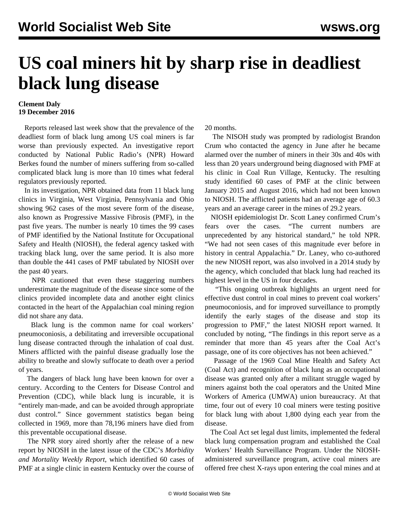## **US coal miners hit by sharp rise in deadliest black lung disease**

## **Clement Daly 19 December 2016**

 Reports released last week show that the prevalence of the deadliest form of black lung among US coal miners is far worse than previously expected. An investigative report conducted by National Public Radio's (NPR) Howard Berkes found the number of miners suffering from so-called complicated black lung is more than 10 times what federal regulators previously reported.

 In its investigation, NPR obtained data from 11 black lung clinics in Virginia, West Virginia, Pennsylvania and Ohio showing 962 cases of the most severe form of the disease, also known as Progressive Massive Fibrosis (PMF), in the past five years. The number is nearly 10 times the 99 cases of PMF identified by the National Institute for Occupational Safety and Health (NIOSH), the federal agency tasked with tracking black lung, over the same period. It is also more than double the 441 cases of PMF tabulated by NIOSH over the past 40 years.

 NPR cautioned that even these staggering numbers underestimate the magnitude of the disease since some of the clinics provided incomplete data and another eight clinics contacted in the heart of the Appalachian coal mining region did not share any data.

 Black lung is the common name for coal workers' pneumoconiosis, a debilitating and irreversible occupational lung disease contracted through the inhalation of coal dust. Miners afflicted with the painful disease gradually lose the ability to breathe and slowly suffocate to death over a period of years.

 The dangers of black lung have been known for over a century. According to the Centers for Disease Control and Prevention (CDC), while black lung is incurable, it is "entirely man-made, and can be avoided through appropriate dust control." Since government statistics began being collected in 1969, more than 78,196 miners have died from this preventable occupational disease.

 The NPR story aired shortly after the release of a new report by NIOSH in the latest issue of the CDC's *Morbidity and Mortality Weekly Report*, which identified 60 cases of PMF at a single clinic in eastern Kentucky over the course of 20 months.

 The NISOH study was prompted by radiologist Brandon Crum who contacted the agency in June after he became alarmed over the number of miners in their 30s and 40s with less than 20 years underground being diagnosed with PMF at his clinic in Coal Run Village, Kentucky. The resulting study identified 60 cases of PMF at the clinic between January 2015 and August 2016, which had not been known to NIOSH. The afflicted patients had an average age of 60.3 years and an average career in the mines of 29.2 years.

 NIOSH epidemiologist Dr. Scott Laney confirmed Crum's fears over the cases. "The current numbers are unprecedented by any historical standard," he told NPR. "We had not seen cases of this magnitude ever before in history in central Appalachia." Dr. Laney, who co-authored the new NIOSH report, was also involved in a [2014 study](/en/articles/2014/09/29/blac-s29.html) by the agency, which concluded that black lung had reached its highest level in the US in four decades.

 "This ongoing outbreak highlights an urgent need for effective dust control in coal mines to prevent coal workers' pneumoconiosis, and for improved surveillance to promptly identify the early stages of the disease and stop its progression to PMF," the latest NIOSH report warned. It concluded by noting, "The findings in this report serve as a reminder that more than 45 years after the Coal Act's passage, one of its core objectives has not been achieved."

 Passage of the 1969 Coal Mine Health and Safety Act (Coal Act) and recognition of black lung as an occupational disease was granted only after a militant struggle waged by miners against both the coal operators and the United Mine Workers of America (UMWA) union bureaucracy. At that time, four out of every 10 coal miners were testing positive for black lung with about 1,800 dying each year from the disease.

 The Coal Act set legal dust limits, implemented the federal black lung compensation program and established the Coal Workers' Health Surveillance Program. Under the NIOSHadministered surveillance program, active coal miners are offered free chest X-rays upon entering the coal mines and at